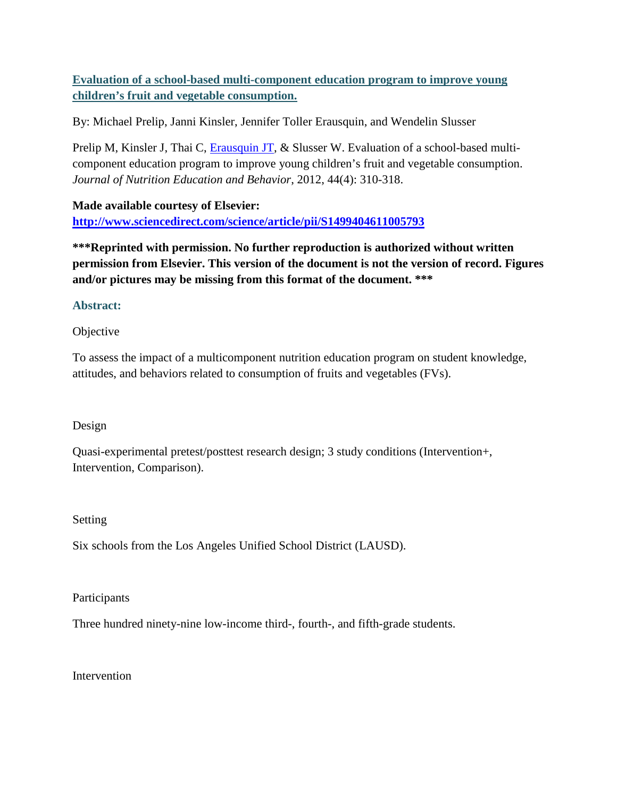**Evaluation of a school-based multi-component education program to improve young children's fruit and vegetable consumption.**

By: Michael Prelip, Janni Kinsler, Jennifer Toller Erausquin, and Wendelin Slusser

Prelip M, Kinsler J, Thai C, [Erausquin JT,](http://libres.uncg.edu/ir/uncg/clist.aspx?id=7743) & Slusser W. Evaluation of a school-based multicomponent education program to improve young children's fruit and vegetable consumption. *Journal of Nutrition Education and Behavior*, 2012, 44(4): 310-318.

**Made available courtesy of Elsevier: <http://www.sciencedirect.com/science/article/pii/S1499404611005793>**

**\*\*\*Reprinted with permission. No further reproduction is authorized without written permission from Elsevier. This version of the document is not the version of record. Figures and/or pictures may be missing from this format of the document. \*\*\***

## **Abstract:**

**Objective** 

To assess the impact of a multicomponent nutrition education program on student knowledge, attitudes, and behaviors related to consumption of fruits and vegetables (FVs).

# Design

Quasi-experimental pretest/posttest research design; 3 study conditions (Intervention+, Intervention, Comparison).

## Setting

Six schools from the Los Angeles Unified School District (LAUSD).

## Participants

Three hundred ninety-nine low-income third-, fourth-, and fifth-grade students.

Intervention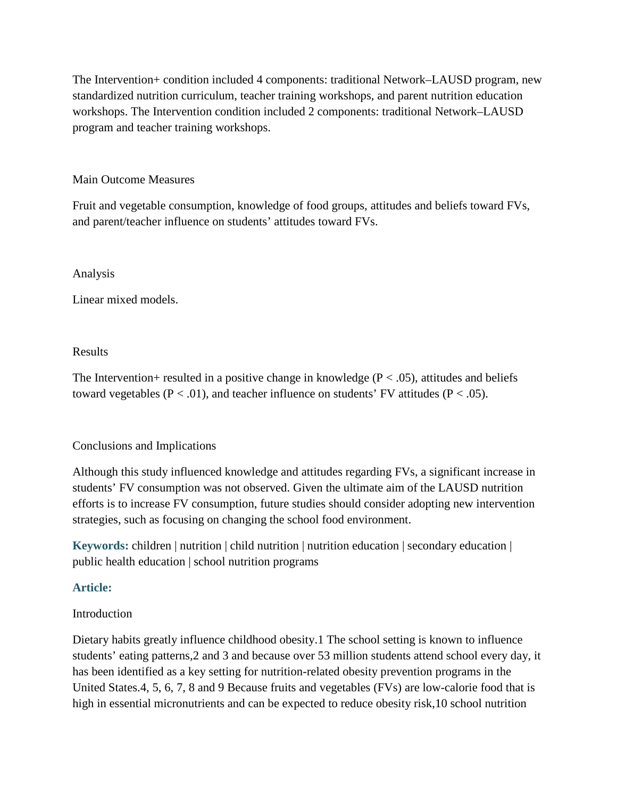The Intervention+ condition included 4 components: traditional Network–LAUSD program, new standardized nutrition curriculum, teacher training workshops, and parent nutrition education workshops. The Intervention condition included 2 components: traditional Network–LAUSD program and teacher training workshops.

# Main Outcome Measures

Fruit and vegetable consumption, knowledge of food groups, attitudes and beliefs toward FVs, and parent/teacher influence on students' attitudes toward FVs.

## Analysis

Linear mixed models.

## Results

The Intervention+ resulted in a positive change in knowledge ( $P < .05$ ), attitudes and beliefs toward vegetables ( $P < .01$ ), and teacher influence on students' FV attitudes ( $P < .05$ ).

## Conclusions and Implications

Although this study influenced knowledge and attitudes regarding FVs, a significant increase in students' FV consumption was not observed. Given the ultimate aim of the LAUSD nutrition efforts is to increase FV consumption, future studies should consider adopting new intervention strategies, such as focusing on changing the school food environment.

**Keywords:** children | nutrition | child nutrition | nutrition education | secondary education | public health education | school nutrition programs

## **Article:**

## Introduction

Dietary habits greatly influence childhood obesity.1 The school setting is known to influence students' eating patterns,2 and 3 and because over 53 million students attend school every day, it has been identified as a key setting for nutrition-related obesity prevention programs in the United States.4, 5, 6, 7, 8 and 9 Because fruits and vegetables (FVs) are low-calorie food that is high in essential micronutrients and can be expected to reduce obesity risk,10 school nutrition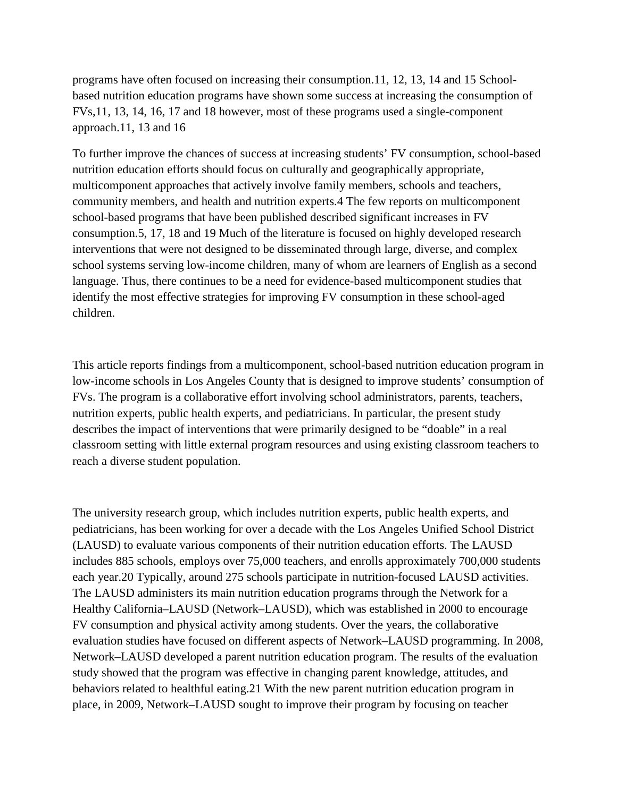programs have often focused on increasing their consumption.11, 12, 13, 14 and 15 Schoolbased nutrition education programs have shown some success at increasing the consumption of FVs,11, 13, 14, 16, 17 and 18 however, most of these programs used a single-component approach.11, 13 and 16

To further improve the chances of success at increasing students' FV consumption, school-based nutrition education efforts should focus on culturally and geographically appropriate, multicomponent approaches that actively involve family members, schools and teachers, community members, and health and nutrition experts.4 The few reports on multicomponent school-based programs that have been published described significant increases in FV consumption.5, 17, 18 and 19 Much of the literature is focused on highly developed research interventions that were not designed to be disseminated through large, diverse, and complex school systems serving low-income children, many of whom are learners of English as a second language. Thus, there continues to be a need for evidence-based multicomponent studies that identify the most effective strategies for improving FV consumption in these school-aged children.

This article reports findings from a multicomponent, school-based nutrition education program in low-income schools in Los Angeles County that is designed to improve students' consumption of FVs. The program is a collaborative effort involving school administrators, parents, teachers, nutrition experts, public health experts, and pediatricians. In particular, the present study describes the impact of interventions that were primarily designed to be "doable" in a real classroom setting with little external program resources and using existing classroom teachers to reach a diverse student population.

The university research group, which includes nutrition experts, public health experts, and pediatricians, has been working for over a decade with the Los Angeles Unified School District (LAUSD) to evaluate various components of their nutrition education efforts. The LAUSD includes 885 schools, employs over 75,000 teachers, and enrolls approximately 700,000 students each year.20 Typically, around 275 schools participate in nutrition-focused LAUSD activities. The LAUSD administers its main nutrition education programs through the Network for a Healthy California–LAUSD (Network–LAUSD), which was established in 2000 to encourage FV consumption and physical activity among students. Over the years, the collaborative evaluation studies have focused on different aspects of Network–LAUSD programming. In 2008, Network–LAUSD developed a parent nutrition education program. The results of the evaluation study showed that the program was effective in changing parent knowledge, attitudes, and behaviors related to healthful eating.21 With the new parent nutrition education program in place, in 2009, Network–LAUSD sought to improve their program by focusing on teacher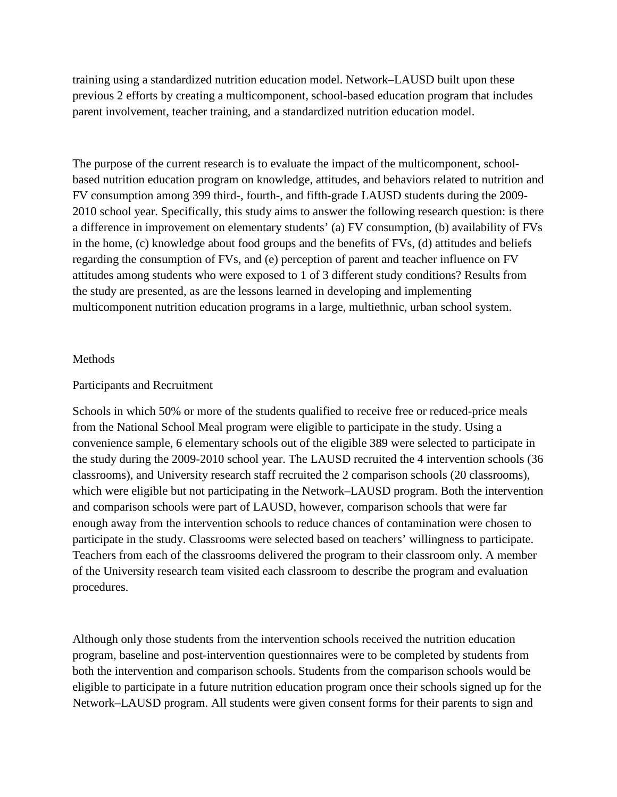training using a standardized nutrition education model. Network–LAUSD built upon these previous 2 efforts by creating a multicomponent, school-based education program that includes parent involvement, teacher training, and a standardized nutrition education model.

The purpose of the current research is to evaluate the impact of the multicomponent, schoolbased nutrition education program on knowledge, attitudes, and behaviors related to nutrition and FV consumption among 399 third-, fourth-, and fifth-grade LAUSD students during the 2009- 2010 school year. Specifically, this study aims to answer the following research question: is there a difference in improvement on elementary students' (a) FV consumption, (b) availability of FVs in the home, (c) knowledge about food groups and the benefits of FVs, (d) attitudes and beliefs regarding the consumption of FVs, and (e) perception of parent and teacher influence on FV attitudes among students who were exposed to 1 of 3 different study conditions? Results from the study are presented, as are the lessons learned in developing and implementing multicomponent nutrition education programs in a large, multiethnic, urban school system.

#### **Methods**

#### Participants and Recruitment

Schools in which 50% or more of the students qualified to receive free or reduced-price meals from the National School Meal program were eligible to participate in the study. Using a convenience sample, 6 elementary schools out of the eligible 389 were selected to participate in the study during the 2009-2010 school year. The LAUSD recruited the 4 intervention schools (36 classrooms), and University research staff recruited the 2 comparison schools (20 classrooms), which were eligible but not participating in the Network–LAUSD program. Both the intervention and comparison schools were part of LAUSD, however, comparison schools that were far enough away from the intervention schools to reduce chances of contamination were chosen to participate in the study. Classrooms were selected based on teachers' willingness to participate. Teachers from each of the classrooms delivered the program to their classroom only. A member of the University research team visited each classroom to describe the program and evaluation procedures.

Although only those students from the intervention schools received the nutrition education program, baseline and post-intervention questionnaires were to be completed by students from both the intervention and comparison schools. Students from the comparison schools would be eligible to participate in a future nutrition education program once their schools signed up for the Network–LAUSD program. All students were given consent forms for their parents to sign and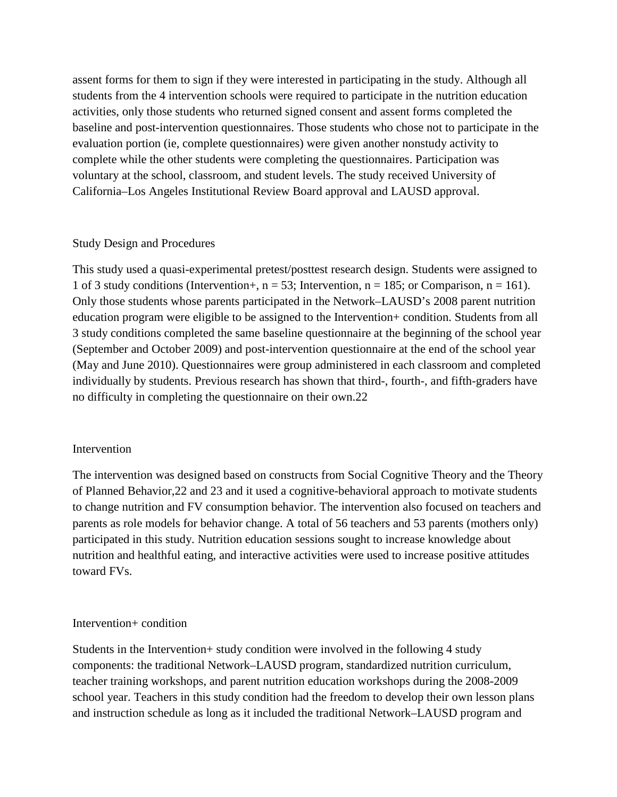assent forms for them to sign if they were interested in participating in the study. Although all students from the 4 intervention schools were required to participate in the nutrition education activities, only those students who returned signed consent and assent forms completed the baseline and post-intervention questionnaires. Those students who chose not to participate in the evaluation portion (ie, complete questionnaires) were given another nonstudy activity to complete while the other students were completing the questionnaires. Participation was voluntary at the school, classroom, and student levels. The study received University of California–Los Angeles Institutional Review Board approval and LAUSD approval.

## Study Design and Procedures

This study used a quasi-experimental pretest/posttest research design. Students were assigned to 1 of 3 study conditions (Intervention+,  $n = 53$ ; Intervention,  $n = 185$ ; or Comparison,  $n = 161$ ). Only those students whose parents participated in the Network–LAUSD's 2008 parent nutrition education program were eligible to be assigned to the Intervention+ condition. Students from all 3 study conditions completed the same baseline questionnaire at the beginning of the school year (September and October 2009) and post-intervention questionnaire at the end of the school year (May and June 2010). Questionnaires were group administered in each classroom and completed individually by students. Previous research has shown that third-, fourth-, and fifth-graders have no difficulty in completing the questionnaire on their own.22

#### Intervention

The intervention was designed based on constructs from Social Cognitive Theory and the Theory of Planned Behavior,22 and 23 and it used a cognitive-behavioral approach to motivate students to change nutrition and FV consumption behavior. The intervention also focused on teachers and parents as role models for behavior change. A total of 56 teachers and 53 parents (mothers only) participated in this study. Nutrition education sessions sought to increase knowledge about nutrition and healthful eating, and interactive activities were used to increase positive attitudes toward FVs.

#### Intervention+ condition

Students in the Intervention+ study condition were involved in the following 4 study components: the traditional Network–LAUSD program, standardized nutrition curriculum, teacher training workshops, and parent nutrition education workshops during the 2008-2009 school year. Teachers in this study condition had the freedom to develop their own lesson plans and instruction schedule as long as it included the traditional Network–LAUSD program and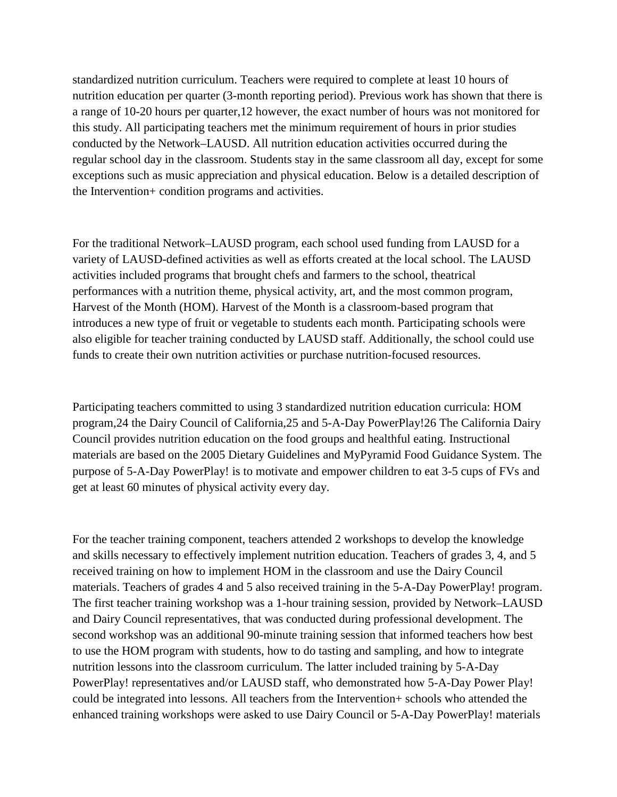standardized nutrition curriculum. Teachers were required to complete at least 10 hours of nutrition education per quarter (3-month reporting period). Previous work has shown that there is a range of 10-20 hours per quarter,12 however, the exact number of hours was not monitored for this study. All participating teachers met the minimum requirement of hours in prior studies conducted by the Network–LAUSD. All nutrition education activities occurred during the regular school day in the classroom. Students stay in the same classroom all day, except for some exceptions such as music appreciation and physical education. Below is a detailed description of the Intervention+ condition programs and activities.

For the traditional Network–LAUSD program, each school used funding from LAUSD for a variety of LAUSD-defined activities as well as efforts created at the local school. The LAUSD activities included programs that brought chefs and farmers to the school, theatrical performances with a nutrition theme, physical activity, art, and the most common program, Harvest of the Month (HOM). Harvest of the Month is a classroom-based program that introduces a new type of fruit or vegetable to students each month. Participating schools were also eligible for teacher training conducted by LAUSD staff. Additionally, the school could use funds to create their own nutrition activities or purchase nutrition-focused resources.

Participating teachers committed to using 3 standardized nutrition education curricula: HOM program,24 the Dairy Council of California,25 and 5-A-Day PowerPlay!26 The California Dairy Council provides nutrition education on the food groups and healthful eating. Instructional materials are based on the 2005 Dietary Guidelines and MyPyramid Food Guidance System. The purpose of 5-A-Day PowerPlay! is to motivate and empower children to eat 3-5 cups of FVs and get at least 60 minutes of physical activity every day.

For the teacher training component, teachers attended 2 workshops to develop the knowledge and skills necessary to effectively implement nutrition education. Teachers of grades 3, 4, and 5 received training on how to implement HOM in the classroom and use the Dairy Council materials. Teachers of grades 4 and 5 also received training in the 5-A-Day PowerPlay! program. The first teacher training workshop was a 1-hour training session, provided by Network–LAUSD and Dairy Council representatives, that was conducted during professional development. The second workshop was an additional 90-minute training session that informed teachers how best to use the HOM program with students, how to do tasting and sampling, and how to integrate nutrition lessons into the classroom curriculum. The latter included training by 5-A-Day PowerPlay! representatives and/or LAUSD staff, who demonstrated how 5-A-Day Power Play! could be integrated into lessons. All teachers from the Intervention+ schools who attended the enhanced training workshops were asked to use Dairy Council or 5-A-Day PowerPlay! materials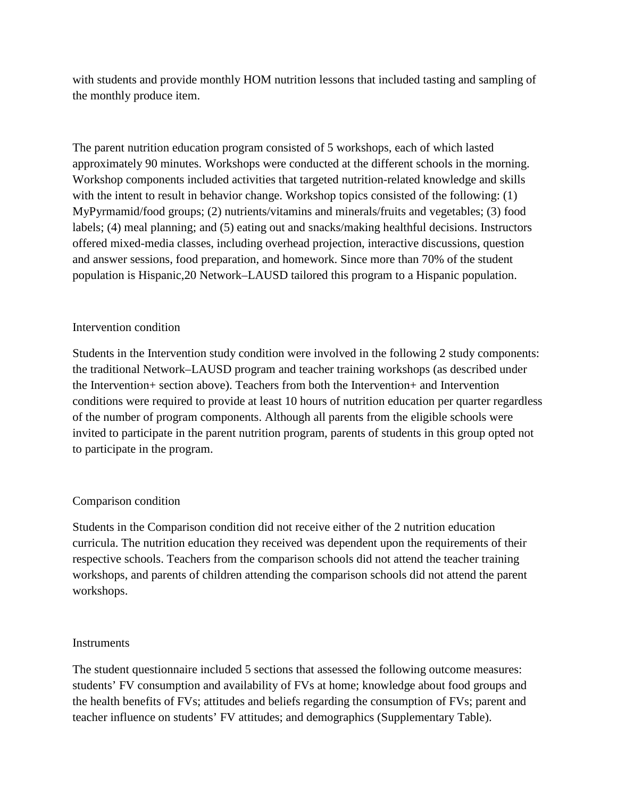with students and provide monthly HOM nutrition lessons that included tasting and sampling of the monthly produce item.

The parent nutrition education program consisted of 5 workshops, each of which lasted approximately 90 minutes. Workshops were conducted at the different schools in the morning. Workshop components included activities that targeted nutrition-related knowledge and skills with the intent to result in behavior change. Workshop topics consisted of the following: (1) MyPyrmamid/food groups; (2) nutrients/vitamins and minerals/fruits and vegetables; (3) food labels; (4) meal planning; and (5) eating out and snacks/making healthful decisions. Instructors offered mixed-media classes, including overhead projection, interactive discussions, question and answer sessions, food preparation, and homework. Since more than 70% of the student population is Hispanic,20 Network–LAUSD tailored this program to a Hispanic population.

## Intervention condition

Students in the Intervention study condition were involved in the following 2 study components: the traditional Network–LAUSD program and teacher training workshops (as described under the Intervention+ section above). Teachers from both the Intervention+ and Intervention conditions were required to provide at least 10 hours of nutrition education per quarter regardless of the number of program components. Although all parents from the eligible schools were invited to participate in the parent nutrition program, parents of students in this group opted not to participate in the program.

# Comparison condition

Students in the Comparison condition did not receive either of the 2 nutrition education curricula. The nutrition education they received was dependent upon the requirements of their respective schools. Teachers from the comparison schools did not attend the teacher training workshops, and parents of children attending the comparison schools did not attend the parent workshops.

## **Instruments**

The student questionnaire included 5 sections that assessed the following outcome measures: students' FV consumption and availability of FVs at home; knowledge about food groups and the health benefits of FVs; attitudes and beliefs regarding the consumption of FVs; parent and teacher influence on students' FV attitudes; and demographics (Supplementary Table).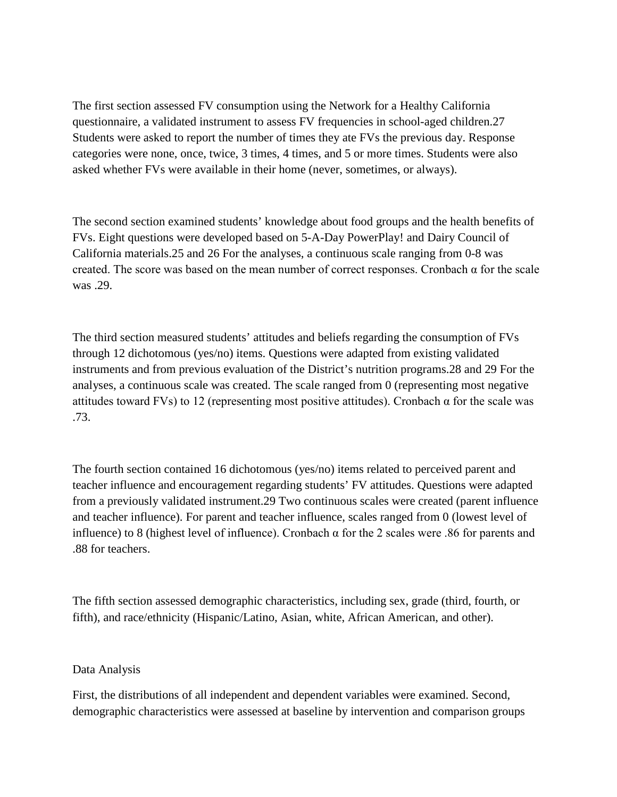The first section assessed FV consumption using the Network for a Healthy California questionnaire, a validated instrument to assess FV frequencies in school-aged children.27 Students were asked to report the number of times they ate FVs the previous day. Response categories were none, once, twice, 3 times, 4 times, and 5 or more times. Students were also asked whether FVs were available in their home (never, sometimes, or always).

The second section examined students' knowledge about food groups and the health benefits of FVs. Eight questions were developed based on 5-A-Day PowerPlay! and Dairy Council of California materials.25 and 26 For the analyses, a continuous scale ranging from 0-8 was created. The score was based on the mean number of correct responses. Cronbach  $\alpha$  for the scale was .29.

The third section measured students' attitudes and beliefs regarding the consumption of FVs through 12 dichotomous (yes/no) items. Questions were adapted from existing validated instruments and from previous evaluation of the District's nutrition programs.28 and 29 For the analyses, a continuous scale was created. The scale ranged from 0 (representing most negative attitudes toward FVs) to 12 (representing most positive attitudes). Cronbach  $\alpha$  for the scale was .73.

The fourth section contained 16 dichotomous (yes/no) items related to perceived parent and teacher influence and encouragement regarding students' FV attitudes. Questions were adapted from a previously validated instrument.29 Two continuous scales were created (parent influence and teacher influence). For parent and teacher influence, scales ranged from 0 (lowest level of influence) to 8 (highest level of influence). Cronbach  $\alpha$  for the 2 scales were .86 for parents and .88 for teachers.

The fifth section assessed demographic characteristics, including sex, grade (third, fourth, or fifth), and race/ethnicity (Hispanic/Latino, Asian, white, African American, and other).

#### Data Analysis

First, the distributions of all independent and dependent variables were examined. Second, demographic characteristics were assessed at baseline by intervention and comparison groups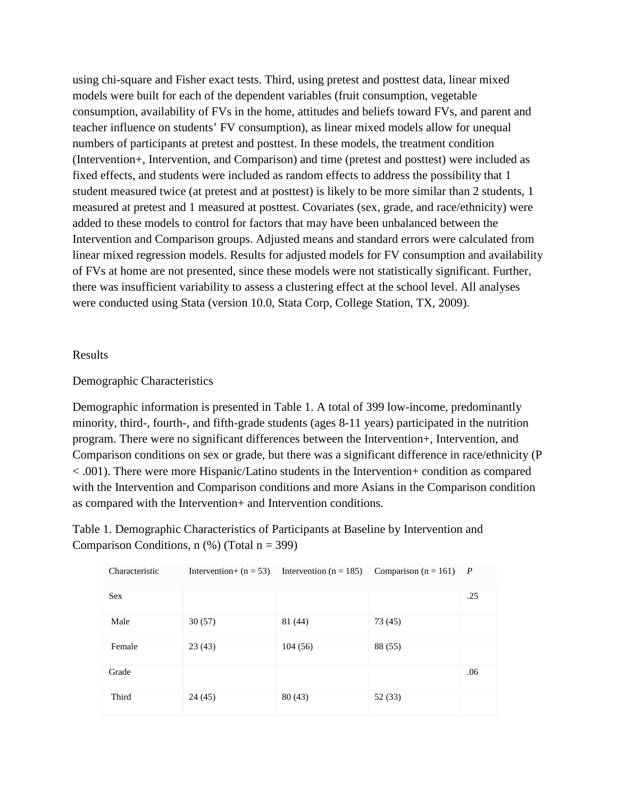using chi-square and Fisher exact tests. Third, using pretest and posttest data, linear mixed models were built for each of the dependent variables (fruit consumption, vegetable consumption, availability of FVs in the home, attitudes and beliefs toward FVs, and parent and teacher influence on students' FV consumption), as linear mixed models allow for unequal numbers of participants at pretest and posttest. In these models, the treatment condition (Intervention+, Intervention, and Comparison) and time (pretest and posttest) were included as fixed effects, and students were included as random effects to address the possibility that 1 student measured twice (at pretest and at posttest) is likely to be more similar than 2 students, 1 measured at pretest and 1 measured at posttest. Covariates (sex, grade, and race/ethnicity) were added to these models to control for factors that may have been unbalanced between the Intervention and Comparison groups. Adjusted means and standard errors were calculated from linear mixed regression models. Results for adjusted models for FV consumption and availability of FVs at home are not presented, since these models were not statistically significant. Further, there was insufficient variability to assess a clustering effect at the school level. All analyses were conducted using Stata (version 10.0, Stata Corp, College Station, TX, 2009).

#### Results

#### Demographic Characteristics

Demographic information is presented in Table 1. A total of 399 low-income, predominantly minority, third-, fourth-, and fifth-grade students (ages 8-11 years) participated in the nutrition program. There were no significant differences between the Intervention+, Intervention, and Comparison conditions on sex or grade, but there was a significant difference in race/ethnicity (P < .001). There were more Hispanic/Latino students in the Intervention+ condition as compared with the Intervention and Comparison conditions and more Asians in the Comparison condition as compared with the Intervention+ and Intervention conditions.

Table 1. Demographic Characteristics of Participants at Baseline by Intervention and Comparison Conditions,  $n$  (%) (Total  $n = 399$ )

| Characteristic | Intervention+ $(n = 53)$ | Intervention ( $n = 185$ ) | Comparison ( $n = 161$ ) | $\overline{P}$ |
|----------------|--------------------------|----------------------------|--------------------------|----------------|
| <b>Sex</b>     |                          |                            |                          | .25            |
| Male           | 30(57)                   | 81 (44)                    | 73 (45)                  |                |
| Female         | 23(43)                   | 104(56)                    | 88 (55)                  |                |
| Grade          |                          |                            |                          | .06            |
| Third          | 24(45)                   | 80(43)                     | 52 (33)                  |                |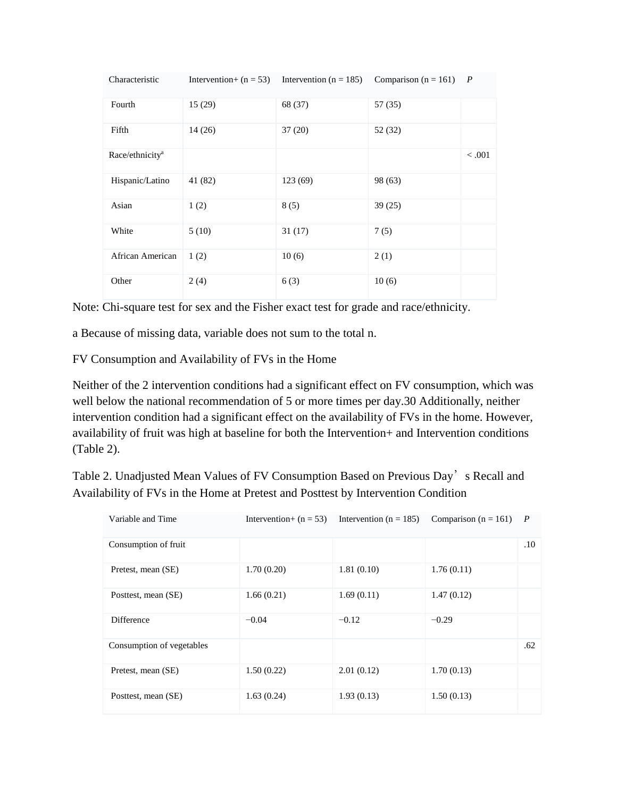| Characteristic              | Intervention+ $(n = 53)$ | Intervention ( $n = 185$ ) | Comparison ( $n = 161$ ) | $\overline{P}$ |
|-----------------------------|--------------------------|----------------------------|--------------------------|----------------|
| Fourth                      | 15(29)                   | 68 (37)                    | 57 (35)                  |                |
| Fifth                       | 14(26)                   | 37(20)                     | 52 (32)                  |                |
| Race/ethnicity <sup>a</sup> |                          |                            |                          | < 0.001        |
| Hispanic/Latino             | 41 (82)                  | 123(69)                    | 98 (63)                  |                |
| Asian                       | 1(2)                     | 8(5)                       | 39(25)                   |                |
| White                       | 5(10)                    | 31(17)                     | 7(5)                     |                |
| African American            | 1(2)                     | 10(6)                      | 2(1)                     |                |
| Other                       | 2(4)                     | 6(3)                       | 10(6)                    |                |

Note: Chi-square test for sex and the Fisher exact test for grade and race/ethnicity.

a Because of missing data, variable does not sum to the total n.

FV Consumption and Availability of FVs in the Home

Neither of the 2 intervention conditions had a significant effect on FV consumption, which was well below the national recommendation of 5 or more times per day.30 Additionally, neither intervention condition had a significant effect on the availability of FVs in the home. However, availability of fruit was high at baseline for both the Intervention+ and Intervention conditions (Table 2).

Table 2. Unadjusted Mean Values of FV Consumption Based on Previous Day's Recall and Availability of FVs in the Home at Pretest and Posttest by Intervention Condition

| Variable and Time         | Intervention+ $(n = 53)$ | Intervention ( $n = 185$ ) | Comparison ( $n = 161$ ) | $\overline{P}$ |
|---------------------------|--------------------------|----------------------------|--------------------------|----------------|
| Consumption of fruit      |                          |                            |                          | .10            |
| Pretest, mean (SE)        | 1.70(0.20)               | 1.81(0.10)                 | 1.76(0.11)               |                |
| Posttest, mean (SE)       | 1.66(0.21)               | 1.69(0.11)                 | 1.47(0.12)               |                |
| Difference                | $-0.04$                  | $-0.12$                    | $-0.29$                  |                |
| Consumption of vegetables |                          |                            |                          | .62            |
| Pretest, mean (SE)        | 1.50(0.22)               | 2.01(0.12)                 | 1.70(0.13)               |                |
| Posttest, mean (SE)       | 1.63(0.24)               | 1.93(0.13)                 | 1.50(0.13)               |                |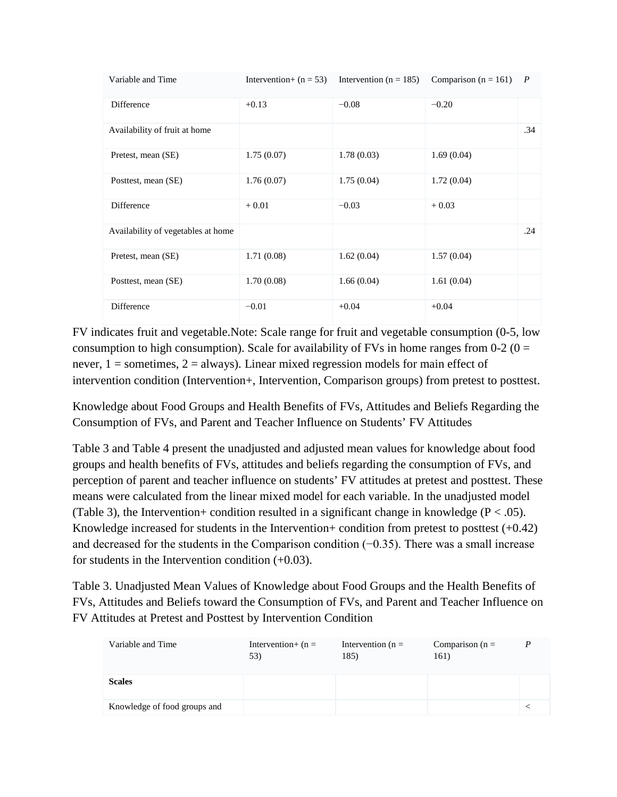| Variable and Time                  | Intervention+ $(n = 53)$ | Intervention ( $n = 185$ ) | Comparison ( $n = 161$ ) | $\overline{P}$ |
|------------------------------------|--------------------------|----------------------------|--------------------------|----------------|
| Difference                         | $+0.13$                  | $-0.08$                    | $-0.20$                  |                |
| Availability of fruit at home      |                          |                            |                          | .34            |
| Pretest, mean (SE)                 | 1.75(0.07)               | 1.78(0.03)                 | 1.69(0.04)               |                |
| Posttest, mean (SE)                | 1.76(0.07)               | 1.75(0.04)                 | 1.72(0.04)               |                |
| Difference                         | $+0.01$                  | $-0.03$                    | $+0.03$                  |                |
| Availability of vegetables at home |                          |                            |                          | .24            |
| Pretest, mean (SE)                 | 1.71(0.08)               | 1.62(0.04)                 | 1.57(0.04)               |                |
| Posttest, mean (SE)                | 1.70(0.08)               | 1.66(0.04)                 | 1.61(0.04)               |                |
| Difference                         | $-0.01$                  | $+0.04$                    | $+0.04$                  |                |

FV indicates fruit and vegetable.Note: Scale range for fruit and vegetable consumption (0-5, low consumption to high consumption). Scale for availability of FVs in home ranges from  $0-2$  ( $0 =$ never,  $1 =$  sometimes,  $2 =$  always). Linear mixed regression models for main effect of intervention condition (Intervention+, Intervention, Comparison groups) from pretest to posttest.

Knowledge about Food Groups and Health Benefits of FVs, Attitudes and Beliefs Regarding the Consumption of FVs, and Parent and Teacher Influence on Students' FV Attitudes

Table 3 and Table 4 present the unadjusted and adjusted mean values for knowledge about food groups and health benefits of FVs, attitudes and beliefs regarding the consumption of FVs, and perception of parent and teacher influence on students' FV attitudes at pretest and posttest. These means were calculated from the linear mixed model for each variable. In the unadjusted model (Table 3), the Intervention+ condition resulted in a significant change in knowledge ( $P < .05$ ). Knowledge increased for students in the Intervention+ condition from pretest to posttest  $(+0.42)$ and decreased for the students in the Comparison condition (−0.35). There was a small increase for students in the Intervention condition  $(+0.03)$ .

Table 3. Unadjusted Mean Values of Knowledge about Food Groups and the Health Benefits of FVs, Attitudes and Beliefs toward the Consumption of FVs, and Parent and Teacher Influence on FV Attitudes at Pretest and Posttest by Intervention Condition

| Variable and Time            | Intervention+ $(n =$<br>53) | Intervention $(n =$<br>185) | Comparison ( $n =$<br>161) | P |
|------------------------------|-----------------------------|-----------------------------|----------------------------|---|
| <b>Scales</b>                |                             |                             |                            |   |
| Knowledge of food groups and |                             |                             |                            |   |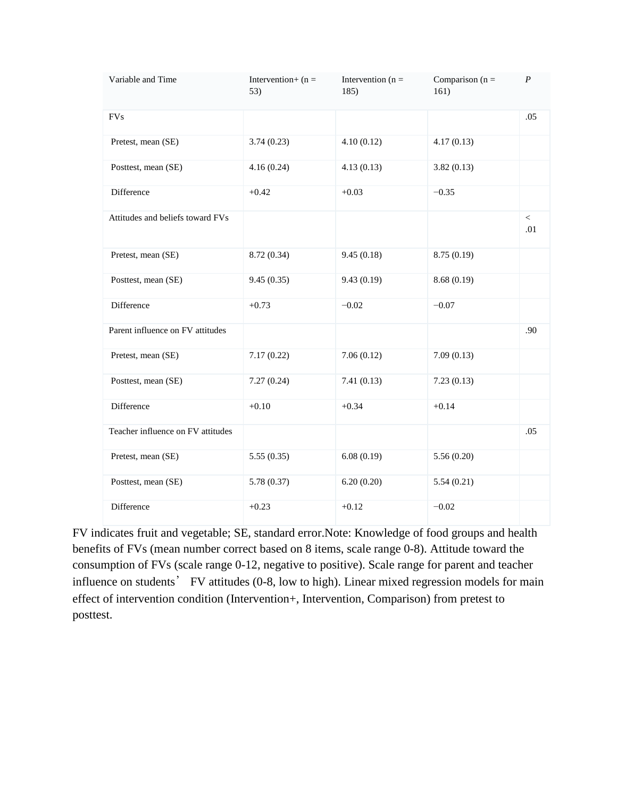| Variable and Time                 | Intervention+ $(n =$<br>53) | Intervention ( $n =$<br>185) | Comparison ( $n =$<br>161) | $\boldsymbol{P}$ |
|-----------------------------------|-----------------------------|------------------------------|----------------------------|------------------|
| <b>FVs</b>                        |                             |                              |                            | .05              |
| Pretest, mean (SE)                | 3.74(0.23)                  | 4.10(0.12)                   | 4.17(0.13)                 |                  |
| Posttest, mean (SE)               | 4.16(0.24)                  | 4.13(0.13)                   | 3.82(0.13)                 |                  |
| Difference                        | $+0.42$                     | $+0.03$                      | $-0.35$                    |                  |
| Attitudes and beliefs toward FVs  |                             |                              |                            | $\lt$<br>.01     |
| Pretest, mean (SE)                | 8.72 (0.34)                 | 9.45(0.18)                   | 8.75 (0.19)                |                  |
| Posttest, mean (SE)               | 9.45(0.35)                  | 9.43(0.19)                   | 8.68(0.19)                 |                  |
| Difference                        | $+0.73$                     | $-0.02$                      | $-0.07$                    |                  |
| Parent influence on FV attitudes  |                             |                              |                            | .90              |
| Pretest, mean (SE)                | 7.17(0.22)                  | 7.06(0.12)                   | 7.09(0.13)                 |                  |
| Posttest, mean (SE)               | 7.27(0.24)                  | 7.41(0.13)                   | 7.23(0.13)                 |                  |
| Difference                        | $+0.10$                     | $+0.34$                      | $+0.14$                    |                  |
| Teacher influence on FV attitudes |                             |                              |                            | .05              |
| Pretest, mean (SE)                | 5.55(0.35)                  | 6.08(0.19)                   | 5.56(0.20)                 |                  |
| Posttest, mean (SE)               | 5.78(0.37)                  | 6.20(0.20)                   | 5.54(0.21)                 |                  |
| Difference                        | $+0.23$                     | $+0.12$                      | $-0.02$                    |                  |

FV indicates fruit and vegetable; SE, standard error.Note: Knowledge of food groups and health benefits of FVs (mean number correct based on 8 items, scale range 0-8). Attitude toward the consumption of FVs (scale range 0-12, negative to positive). Scale range for parent and teacher influence on students' FV attitudes (0-8, low to high). Linear mixed regression models for main effect of intervention condition (Intervention+, Intervention, Comparison) from pretest to posttest.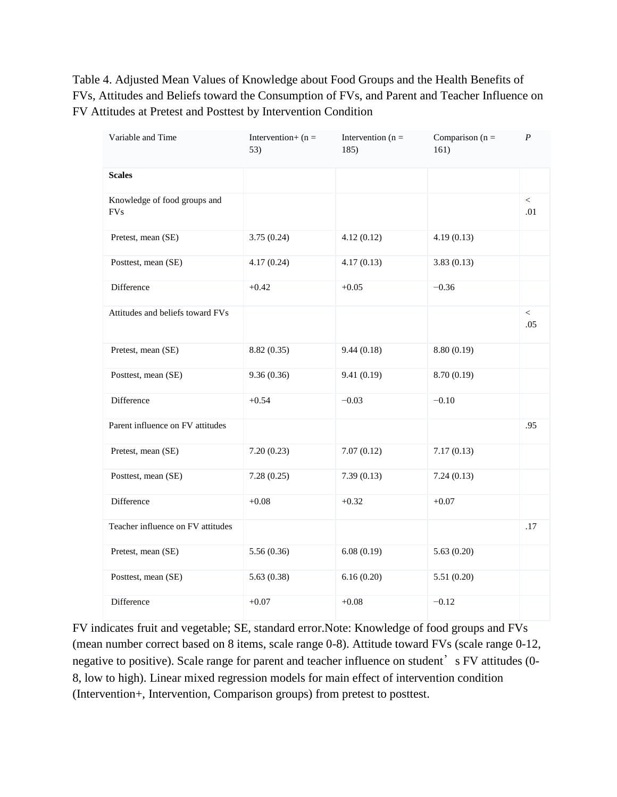# Table 4. Adjusted Mean Values of Knowledge about Food Groups and the Health Benefits of FVs, Attitudes and Beliefs toward the Consumption of FVs, and Parent and Teacher Influence on FV Attitudes at Pretest and Posttest by Intervention Condition

| Variable and Time                          | Intervention+ $(n =$<br>53) | Intervention ( $n =$<br>185) | Comparison ( $n =$<br>161) | $\boldsymbol{P}$ |
|--------------------------------------------|-----------------------------|------------------------------|----------------------------|------------------|
| <b>Scales</b>                              |                             |                              |                            |                  |
| Knowledge of food groups and<br><b>FVs</b> |                             |                              |                            | $\,<\,$<br>.01   |
| Pretest, mean (SE)                         | 3.75(0.24)                  | 4.12(0.12)                   | 4.19(0.13)                 |                  |
| Posttest, mean (SE)                        | 4.17(0.24)                  | 4.17(0.13)                   | 3.83(0.13)                 |                  |
| Difference                                 | $+0.42$                     | $+0.05$                      | $-0.36$                    |                  |
| Attitudes and beliefs toward FVs           |                             |                              |                            | $\,<\,$<br>.05   |
| Pretest, mean (SE)                         | 8.82 (0.35)                 | 9.44(0.18)                   | 8.80 (0.19)                |                  |
| Posttest, mean (SE)                        | 9.36(0.36)                  | 9.41 (0.19)                  | 8.70 (0.19)                |                  |
| Difference                                 | $+0.54$                     | $-0.03$                      | $-0.10$                    |                  |
| Parent influence on FV attitudes           |                             |                              |                            | .95              |
| Pretest, mean (SE)                         | 7.20(0.23)                  | 7.07(0.12)                   | 7.17(0.13)                 |                  |
| Posttest, mean (SE)                        | 7.28(0.25)                  | 7.39(0.13)                   | 7.24(0.13)                 |                  |
| Difference                                 | $+0.08$                     | $+0.32$                      | $+0.07$                    |                  |
| Teacher influence on FV attitudes          |                             |                              |                            | .17              |
| Pretest, mean (SE)                         | 5.56(0.36)                  | 6.08(0.19)                   | 5.63(0.20)                 |                  |
| Posttest, mean (SE)                        | 5.63(0.38)                  | 6.16(0.20)                   | 5.51(0.20)                 |                  |
| Difference                                 | $+0.07$                     | $+0.08$                      | $-0.12$                    |                  |

FV indicates fruit and vegetable; SE, standard error.Note: Knowledge of food groups and FVs (mean number correct based on 8 items, scale range 0-8). Attitude toward FVs (scale range 0-12, negative to positive). Scale range for parent and teacher influence on student's FV attitudes (0-8, low to high). Linear mixed regression models for main effect of intervention condition (Intervention+, Intervention, Comparison groups) from pretest to posttest.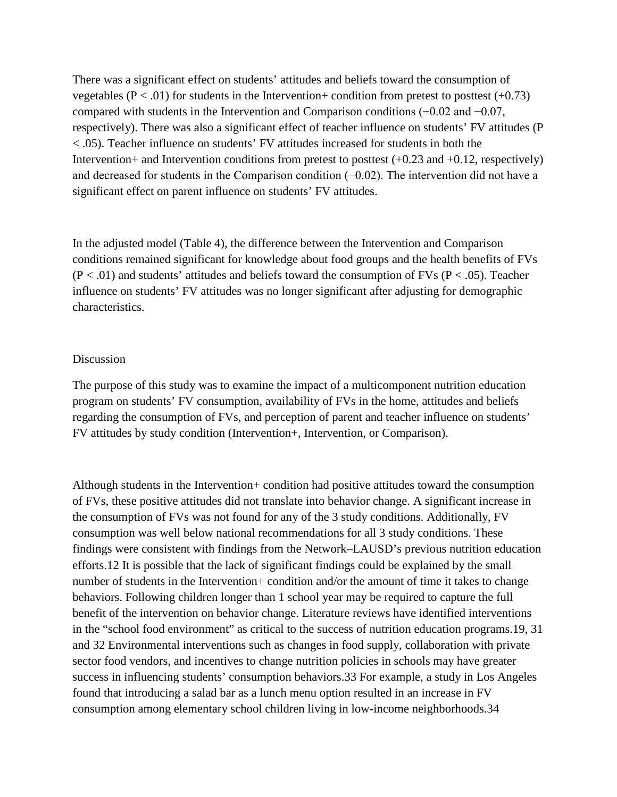There was a significant effect on students' attitudes and beliefs toward the consumption of vegetables ( $P < .01$ ) for students in the Intervention+ condition from pretest to posttest (+0.73) compared with students in the Intervention and Comparison conditions (−0.02 and −0.07, respectively). There was also a significant effect of teacher influence on students' FV attitudes (P < .05). Teacher influence on students' FV attitudes increased for students in both the Intervention+ and Intervention conditions from pretest to posttest  $(+0.23 \text{ and } +0.12, \text{ respectively})$ and decreased for students in the Comparison condition (−0.02). The intervention did not have a significant effect on parent influence on students' FV attitudes.

In the adjusted model (Table 4), the difference between the Intervention and Comparison conditions remained significant for knowledge about food groups and the health benefits of FVs  $(P < .01)$  and students' attitudes and beliefs toward the consumption of FVs  $(P < .05)$ . Teacher influence on students' FV attitudes was no longer significant after adjusting for demographic characteristics.

#### Discussion

The purpose of this study was to examine the impact of a multicomponent nutrition education program on students' FV consumption, availability of FVs in the home, attitudes and beliefs regarding the consumption of FVs, and perception of parent and teacher influence on students' FV attitudes by study condition (Intervention+, Intervention, or Comparison).

Although students in the Intervention+ condition had positive attitudes toward the consumption of FVs, these positive attitudes did not translate into behavior change. A significant increase in the consumption of FVs was not found for any of the 3 study conditions. Additionally, FV consumption was well below national recommendations for all 3 study conditions. These findings were consistent with findings from the Network–LAUSD's previous nutrition education efforts.12 It is possible that the lack of significant findings could be explained by the small number of students in the Intervention+ condition and/or the amount of time it takes to change behaviors. Following children longer than 1 school year may be required to capture the full benefit of the intervention on behavior change. Literature reviews have identified interventions in the "school food environment" as critical to the success of nutrition education programs.19, 31 and 32 Environmental interventions such as changes in food supply, collaboration with private sector food vendors, and incentives to change nutrition policies in schools may have greater success in influencing students' consumption behaviors.33 For example, a study in Los Angeles found that introducing a salad bar as a lunch menu option resulted in an increase in FV consumption among elementary school children living in low-income neighborhoods.34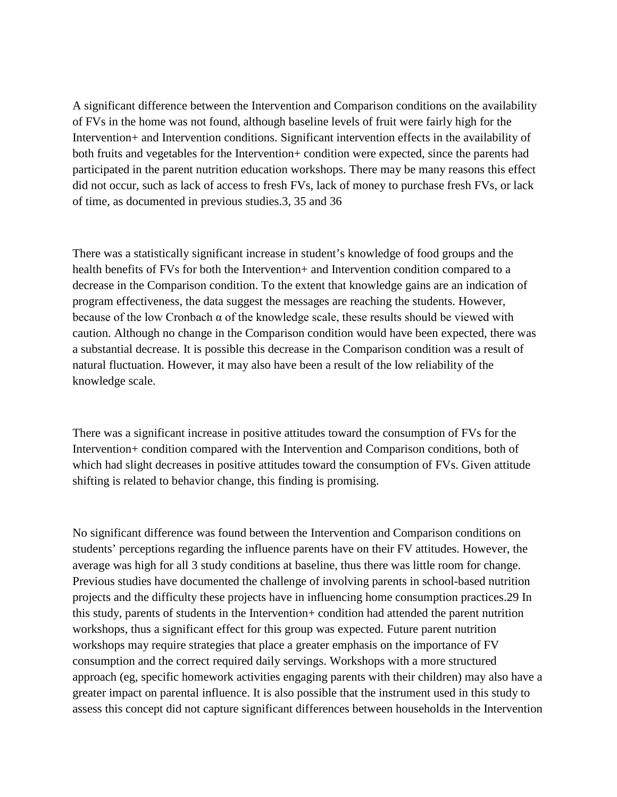A significant difference between the Intervention and Comparison conditions on the availability of FVs in the home was not found, although baseline levels of fruit were fairly high for the Intervention+ and Intervention conditions. Significant intervention effects in the availability of both fruits and vegetables for the Intervention+ condition were expected, since the parents had participated in the parent nutrition education workshops. There may be many reasons this effect did not occur, such as lack of access to fresh FVs, lack of money to purchase fresh FVs, or lack of time, as documented in previous studies.3, 35 and 36

There was a statistically significant increase in student's knowledge of food groups and the health benefits of FVs for both the Intervention+ and Intervention condition compared to a decrease in the Comparison condition. To the extent that knowledge gains are an indication of program effectiveness, the data suggest the messages are reaching the students. However, because of the low Cronbach  $\alpha$  of the knowledge scale, these results should be viewed with caution. Although no change in the Comparison condition would have been expected, there was a substantial decrease. It is possible this decrease in the Comparison condition was a result of natural fluctuation. However, it may also have been a result of the low reliability of the knowledge scale.

There was a significant increase in positive attitudes toward the consumption of FVs for the Intervention+ condition compared with the Intervention and Comparison conditions, both of which had slight decreases in positive attitudes toward the consumption of FVs. Given attitude shifting is related to behavior change, this finding is promising.

No significant difference was found between the Intervention and Comparison conditions on students' perceptions regarding the influence parents have on their FV attitudes. However, the average was high for all 3 study conditions at baseline, thus there was little room for change. Previous studies have documented the challenge of involving parents in school-based nutrition projects and the difficulty these projects have in influencing home consumption practices.29 In this study, parents of students in the Intervention+ condition had attended the parent nutrition workshops, thus a significant effect for this group was expected. Future parent nutrition workshops may require strategies that place a greater emphasis on the importance of FV consumption and the correct required daily servings. Workshops with a more structured approach (eg, specific homework activities engaging parents with their children) may also have a greater impact on parental influence. It is also possible that the instrument used in this study to assess this concept did not capture significant differences between households in the Intervention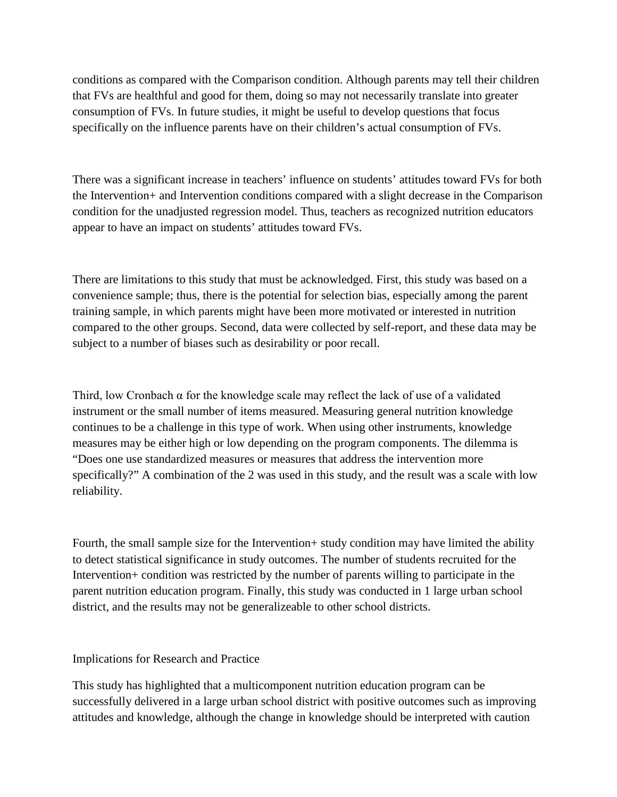conditions as compared with the Comparison condition. Although parents may tell their children that FVs are healthful and good for them, doing so may not necessarily translate into greater consumption of FVs. In future studies, it might be useful to develop questions that focus specifically on the influence parents have on their children's actual consumption of FVs.

There was a significant increase in teachers' influence on students' attitudes toward FVs for both the Intervention+ and Intervention conditions compared with a slight decrease in the Comparison condition for the unadjusted regression model. Thus, teachers as recognized nutrition educators appear to have an impact on students' attitudes toward FVs.

There are limitations to this study that must be acknowledged. First, this study was based on a convenience sample; thus, there is the potential for selection bias, especially among the parent training sample, in which parents might have been more motivated or interested in nutrition compared to the other groups. Second, data were collected by self-report, and these data may be subject to a number of biases such as desirability or poor recall.

Third, low Cronbach α for the knowledge scale may reflect the lack of use of a validated instrument or the small number of items measured. Measuring general nutrition knowledge continues to be a challenge in this type of work. When using other instruments, knowledge measures may be either high or low depending on the program components. The dilemma is "Does one use standardized measures or measures that address the intervention more specifically?" A combination of the 2 was used in this study, and the result was a scale with low reliability.

Fourth, the small sample size for the Intervention+ study condition may have limited the ability to detect statistical significance in study outcomes. The number of students recruited for the Intervention+ condition was restricted by the number of parents willing to participate in the parent nutrition education program. Finally, this study was conducted in 1 large urban school district, and the results may not be generalizeable to other school districts.

Implications for Research and Practice

This study has highlighted that a multicomponent nutrition education program can be successfully delivered in a large urban school district with positive outcomes such as improving attitudes and knowledge, although the change in knowledge should be interpreted with caution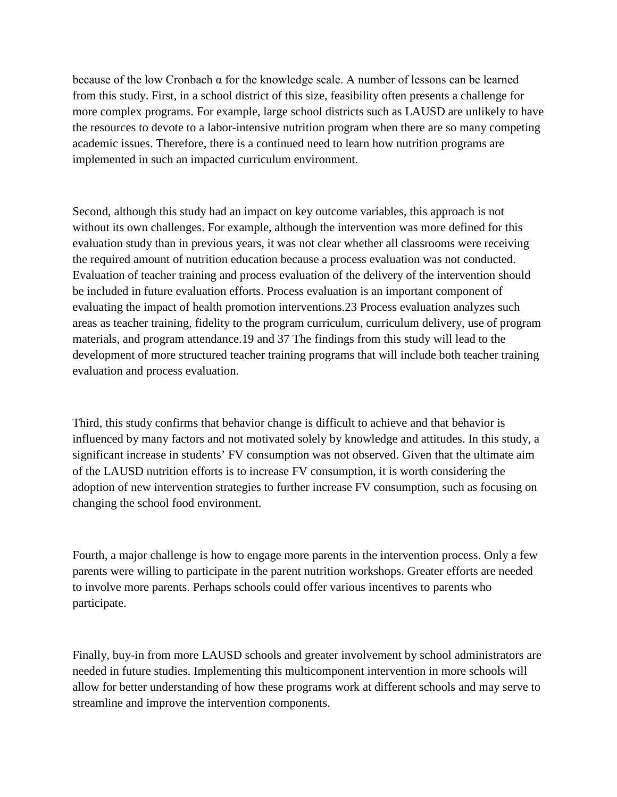because of the low Cronbach  $\alpha$  for the knowledge scale. A number of lessons can be learned from this study. First, in a school district of this size, feasibility often presents a challenge for more complex programs. For example, large school districts such as LAUSD are unlikely to have the resources to devote to a labor-intensive nutrition program when there are so many competing academic issues. Therefore, there is a continued need to learn how nutrition programs are implemented in such an impacted curriculum environment.

Second, although this study had an impact on key outcome variables, this approach is not without its own challenges. For example, although the intervention was more defined for this evaluation study than in previous years, it was not clear whether all classrooms were receiving the required amount of nutrition education because a process evaluation was not conducted. Evaluation of teacher training and process evaluation of the delivery of the intervention should be included in future evaluation efforts. Process evaluation is an important component of evaluating the impact of health promotion interventions.23 Process evaluation analyzes such areas as teacher training, fidelity to the program curriculum, curriculum delivery, use of program materials, and program attendance.19 and 37 The findings from this study will lead to the development of more structured teacher training programs that will include both teacher training evaluation and process evaluation.

Third, this study confirms that behavior change is difficult to achieve and that behavior is influenced by many factors and not motivated solely by knowledge and attitudes. In this study, a significant increase in students' FV consumption was not observed. Given that the ultimate aim of the LAUSD nutrition efforts is to increase FV consumption, it is worth considering the adoption of new intervention strategies to further increase FV consumption, such as focusing on changing the school food environment.

Fourth, a major challenge is how to engage more parents in the intervention process. Only a few parents were willing to participate in the parent nutrition workshops. Greater efforts are needed to involve more parents. Perhaps schools could offer various incentives to parents who participate.

Finally, buy-in from more LAUSD schools and greater involvement by school administrators are needed in future studies. Implementing this multicomponent intervention in more schools will allow for better understanding of how these programs work at different schools and may serve to streamline and improve the intervention components.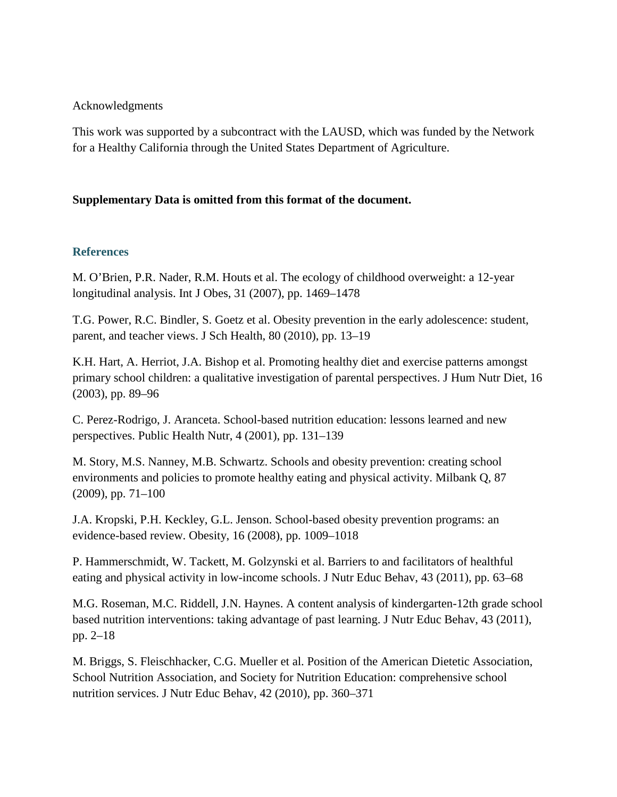### Acknowledgments

This work was supported by a subcontract with the LAUSD, which was funded by the Network for a Healthy California through the United States Department of Agriculture.

## **Supplementary Data is omitted from this format of the document.**

## **References**

M. O'Brien, P.R. Nader, R.M. Houts et al. The ecology of childhood overweight: a 12-year longitudinal analysis. Int J Obes, 31 (2007), pp. 1469–1478

T.G. Power, R.C. Bindler, S. Goetz et al. Obesity prevention in the early adolescence: student, parent, and teacher views. J Sch Health, 80 (2010), pp. 13–19

K.H. Hart, A. Herriot, J.A. Bishop et al. Promoting healthy diet and exercise patterns amongst primary school children: a qualitative investigation of parental perspectives. J Hum Nutr Diet, 16 (2003), pp. 89–96

C. Perez-Rodrigo, J. Aranceta. School-based nutrition education: lessons learned and new perspectives. Public Health Nutr, 4 (2001), pp. 131–139

M. Story, M.S. Nanney, M.B. Schwartz. Schools and obesity prevention: creating school environments and policies to promote healthy eating and physical activity. Milbank Q, 87 (2009), pp. 71–100

J.A. Kropski, P.H. Keckley, G.L. Jenson. School-based obesity prevention programs: an evidence-based review. Obesity, 16 (2008), pp. 1009–1018

P. Hammerschmidt, W. Tackett, M. Golzynski et al. Barriers to and facilitators of healthful eating and physical activity in low-income schools. J Nutr Educ Behav, 43 (2011), pp. 63–68

M.G. Roseman, M.C. Riddell, J.N. Haynes. A content analysis of kindergarten-12th grade school based nutrition interventions: taking advantage of past learning. J Nutr Educ Behav, 43 (2011), pp. 2–18

M. Briggs, S. Fleischhacker, C.G. Mueller et al. Position of the American Dietetic Association, School Nutrition Association, and Society for Nutrition Education: comprehensive school nutrition services. J Nutr Educ Behav, 42 (2010), pp. 360–371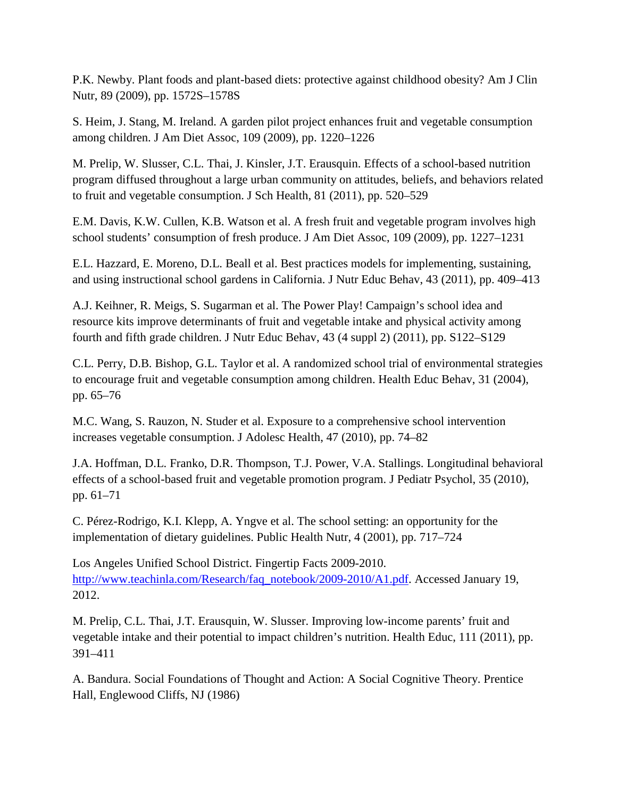P.K. Newby. Plant foods and plant-based diets: protective against childhood obesity? Am J Clin Nutr, 89 (2009), pp. 1572S–1578S

S. Heim, J. Stang, M. Ireland. A garden pilot project enhances fruit and vegetable consumption among children. J Am Diet Assoc, 109 (2009), pp. 1220–1226

M. Prelip, W. Slusser, C.L. Thai, J. Kinsler, J.T. Erausquin. Effects of a school-based nutrition program diffused throughout a large urban community on attitudes, beliefs, and behaviors related to fruit and vegetable consumption. J Sch Health, 81 (2011), pp. 520–529

E.M. Davis, K.W. Cullen, K.B. Watson et al. A fresh fruit and vegetable program involves high school students' consumption of fresh produce. J Am Diet Assoc, 109 (2009), pp. 1227–1231

E.L. Hazzard, E. Moreno, D.L. Beall et al. Best practices models for implementing, sustaining, and using instructional school gardens in California. J Nutr Educ Behav, 43 (2011), pp. 409–413

A.J. Keihner, R. Meigs, S. Sugarman et al. The Power Play! Campaign's school idea and resource kits improve determinants of fruit and vegetable intake and physical activity among fourth and fifth grade children. J Nutr Educ Behav, 43 (4 suppl 2) (2011), pp. S122–S129

C.L. Perry, D.B. Bishop, G.L. Taylor et al. A randomized school trial of environmental strategies to encourage fruit and vegetable consumption among children. Health Educ Behav, 31 (2004), pp. 65–76

M.C. Wang, S. Rauzon, N. Studer et al. Exposure to a comprehensive school intervention increases vegetable consumption. J Adolesc Health, 47 (2010), pp. 74–82

J.A. Hoffman, D.L. Franko, D.R. Thompson, T.J. Power, V.A. Stallings. Longitudinal behavioral effects of a school-based fruit and vegetable promotion program. J Pediatr Psychol, 35 (2010), pp. 61–71

C. Pérez-Rodrigo, K.I. Klepp, A. Yngve et al. The school setting: an opportunity for the implementation of dietary guidelines. Public Health Nutr, 4 (2001), pp. 717–724

Los Angeles Unified School District. Fingertip Facts 2009-2010. [http://www.teachinla.com/Research/faq\\_notebook/2009-2010/A1.pdf.](http://www.teachinla.com/Research/faq_notebook/2009-2010/A1.pdf) Accessed January 19, 2012.

M. Prelip, C.L. Thai, J.T. Erausquin, W. Slusser. Improving low-income parents' fruit and vegetable intake and their potential to impact children's nutrition. Health Educ, 111 (2011), pp. 391–411

A. Bandura. Social Foundations of Thought and Action: A Social Cognitive Theory. Prentice Hall, Englewood Cliffs, NJ (1986)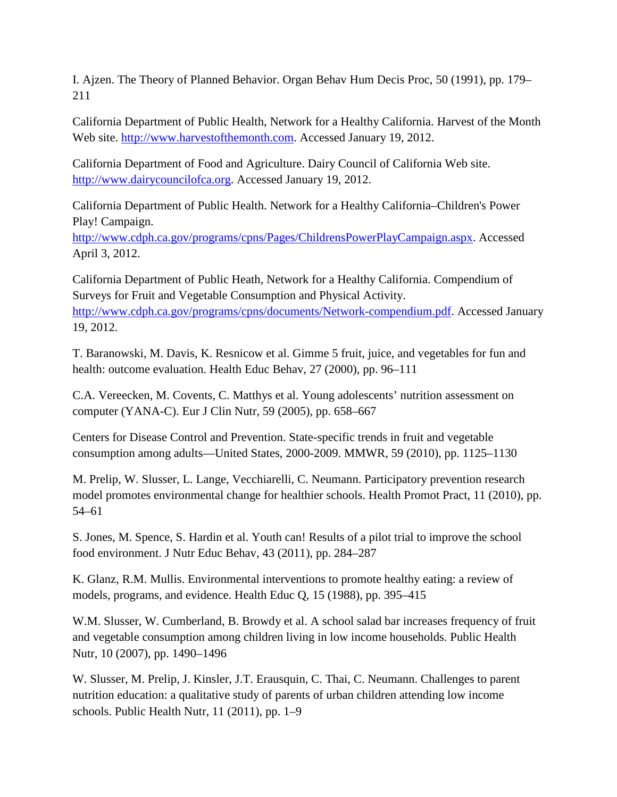I. Ajzen. The Theory of Planned Behavior. Organ Behav Hum Decis Proc, 50 (1991), pp. 179– 211

California Department of Public Health, Network for a Healthy California. Harvest of the Month Web site. [http://www.harvestofthemonth.com.](http://www.harvestofthemonth.com/) Accessed January 19, 2012.

California Department of Food and Agriculture. Dairy Council of California Web site. [http://www.dairycouncilofca.org.](http://www.dairycouncilofca.org/) Accessed January 19, 2012.

California Department of Public Health. Network for a Healthy California–Children's Power Play! Campaign.

[http://www.cdph.ca.gov/programs/cpns/Pages/ChildrensPowerPlayCampaign.aspx.](http://www.cdph.ca.gov/programs/cpns/Pages/ChildrensPowerPlayCampaign.aspx) Accessed April 3, 2012.

California Department of Public Heath, Network for a Healthy California. Compendium of Surveys for Fruit and Vegetable Consumption and Physical Activity. [http://www.cdph.ca.gov/programs/cpns/documents/Network-compendium.pdf.](http://www.cdph.ca.gov/programs/cpns/documents/Network-compendium.pdf) Accessed January 19, 2012.

T. Baranowski, M. Davis, K. Resnicow et al. Gimme 5 fruit, juice, and vegetables for fun and health: outcome evaluation. Health Educ Behav, 27 (2000), pp. 96–111

C.A. Vereecken, M. Covents, C. Matthys et al. Young adolescents' nutrition assessment on computer (YANA-C). Eur J Clin Nutr, 59 (2005), pp. 658–667

Centers for Disease Control and Prevention. State-specific trends in fruit and vegetable consumption among adults—United States, 2000-2009. MMWR, 59 (2010), pp. 1125–1130

M. Prelip, W. Slusser, L. Lange, Vecchiarelli, C. Neumann. Participatory prevention research model promotes environmental change for healthier schools. Health Promot Pract, 11 (2010), pp. 54–61

S. Jones, M. Spence, S. Hardin et al. Youth can! Results of a pilot trial to improve the school food environment. J Nutr Educ Behav, 43 (2011), pp. 284–287

K. Glanz, R.M. Mullis. Environmental interventions to promote healthy eating: a review of models, programs, and evidence. Health Educ Q, 15 (1988), pp. 395–415

W.M. Slusser, W. Cumberland, B. Browdy et al. A school salad bar increases frequency of fruit and vegetable consumption among children living in low income households. Public Health Nutr, 10 (2007), pp. 1490–1496

W. Slusser, M. Prelip, J. Kinsler, J.T. Erausquin, C. Thai, C. Neumann. Challenges to parent nutrition education: a qualitative study of parents of urban children attending low income schools. Public Health Nutr, 11 (2011), pp. 1–9